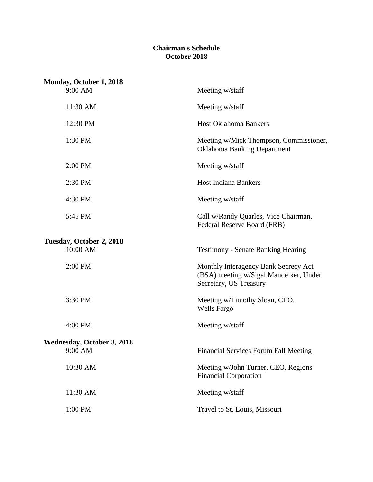### **Chairman's Schedule October 2018**

| Monday, October 1, 2018              |                                                                                                          |
|--------------------------------------|----------------------------------------------------------------------------------------------------------|
| 9:00 AM                              | Meeting w/staff                                                                                          |
| 11:30 AM                             | Meeting w/staff                                                                                          |
| 12:30 PM                             | <b>Host Oklahoma Bankers</b>                                                                             |
| 1:30 PM                              | Meeting w/Mick Thompson, Commissioner,<br><b>Oklahoma Banking Department</b>                             |
| 2:00 PM                              | Meeting w/staff                                                                                          |
| 2:30 PM                              | <b>Host Indiana Bankers</b>                                                                              |
| 4:30 PM                              | Meeting w/staff                                                                                          |
| 5:45 PM                              | Call w/Randy Quarles, Vice Chairman,<br>Federal Reserve Board (FRB)                                      |
| Tuesday, October 2, 2018<br>10:00 AM | <b>Testimony - Senate Banking Hearing</b>                                                                |
| 2:00 PM                              | Monthly Interagency Bank Secrecy Act<br>(BSA) meeting w/Sigal Mandelker, Under<br>Secretary, US Treasury |
| 3:30 PM                              | Meeting w/Timothy Sloan, CEO,<br><b>Wells Fargo</b>                                                      |
| 4:00 PM                              | Meeting w/staff                                                                                          |
| <b>Wednesday, October 3, 2018</b>    |                                                                                                          |
| 9:00 AM                              | <b>Financial Services Forum Fall Meeting</b>                                                             |
| 10:30 AM                             | Meeting w/John Turner, CEO, Regions<br><b>Financial Corporation</b>                                      |
| 11:30 AM                             | Meeting w/staff                                                                                          |
| 1:00 PM                              | Travel to St. Louis, Missouri                                                                            |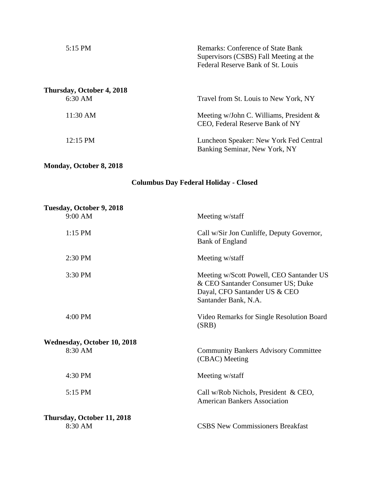| 5:15 PM                              | <b>Remarks: Conference of State Bank</b><br>Supervisors (CSBS) Fall Meeting at the<br>Federal Reserve Bank of St. Louis |
|--------------------------------------|-------------------------------------------------------------------------------------------------------------------------|
| Thursday, October 4, 2018<br>6:30 AM | Travel from St. Louis to New York, NY                                                                                   |
| $11:30 \text{ AM}$                   | Meeting w/John C. Williams, President $\&$<br>CEO, Federal Reserve Bank of NY                                           |
| $12:15 \text{ PM}$                   | Luncheon Speaker: New York Fed Central<br>Banking Seminar, New York, NY                                                 |

# **Monday, October 8, 2018**

# **Columbus Day Federal Holiday - Closed**

| Tuesday, October 9, 2018           |                                                                                                                                        |
|------------------------------------|----------------------------------------------------------------------------------------------------------------------------------------|
| 9:00 AM                            | Meeting w/staff                                                                                                                        |
| $1:15$ PM                          | Call w/Sir Jon Cunliffe, Deputy Governor,<br><b>Bank of England</b>                                                                    |
| 2:30 PM                            | Meeting w/staff                                                                                                                        |
| 3:30 PM                            | Meeting w/Scott Powell, CEO Santander US<br>& CEO Santander Consumer US; Duke<br>Dayal, CFO Santander US & CEO<br>Santander Bank, N.A. |
| 4:00 PM                            | Video Remarks for Single Resolution Board<br>(SRB)                                                                                     |
| <b>Wednesday, October 10, 2018</b> |                                                                                                                                        |
| 8:30 AM                            | <b>Community Bankers Advisory Committee</b><br>(CBAC) Meeting                                                                          |
| 4:30 PM                            | Meeting w/staff                                                                                                                        |
| 5:15 PM                            | Call w/Rob Nichols, President & CEO,<br><b>American Bankers Association</b>                                                            |
| Thursday, October 11, 2018         |                                                                                                                                        |
| 8:30 AM                            | <b>CSBS New Commissioners Breakfast</b>                                                                                                |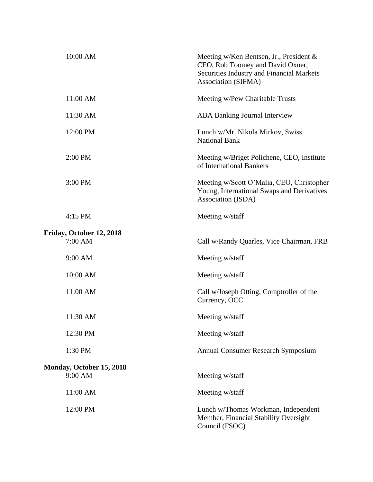| 10:00 AM                            | Meeting w/Ken Bentsen, Jr., President $\&$<br>CEO, Rob Toomey and David Oxner,<br>Securities Industry and Financial Markets<br>Association (SIFMA) |
|-------------------------------------|----------------------------------------------------------------------------------------------------------------------------------------------------|
| 11:00 AM                            | Meeting w/Pew Charitable Trusts                                                                                                                    |
| 11:30 AM                            | <b>ABA Banking Journal Interview</b>                                                                                                               |
| 12:00 PM                            | Lunch w/Mr. Nikola Mirkov, Swiss<br><b>National Bank</b>                                                                                           |
| 2:00 PM                             | Meeting w/Briget Polichene, CEO, Institute<br>of International Bankers                                                                             |
| 3:00 PM                             | Meeting w/Scott O'Malia, CEO, Christopher<br>Young, International Swaps and Derivatives<br>Association (ISDA)                                      |
| 4:15 PM                             | Meeting w/staff                                                                                                                                    |
| Friday, October 12, 2018<br>7:00 AM | Call w/Randy Quarles, Vice Chairman, FRB                                                                                                           |
| 9:00 AM                             | Meeting w/staff                                                                                                                                    |
| 10:00 AM                            | Meeting w/staff                                                                                                                                    |
| 11:00 AM                            | Call w/Joseph Otting, Comptroller of the<br>Currency, OCC                                                                                          |
| 11:30 AM                            | Meeting w/staff                                                                                                                                    |
| 12:30 PM                            | Meeting w/staff                                                                                                                                    |
| 1:30 PM                             | <b>Annual Consumer Research Symposium</b>                                                                                                          |
| Monday, October 15, 2018            |                                                                                                                                                    |
| 9:00 AM                             | Meeting w/staff                                                                                                                                    |
| 11:00 AM                            | Meeting w/staff                                                                                                                                    |
| 12:00 PM                            | Lunch w/Thomas Workman, Independent<br>Member, Financial Stability Oversight<br>Council (FSOC)                                                     |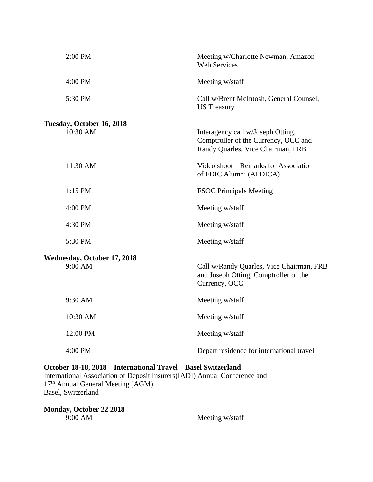| 2:00 PM                                       | Meeting w/Charlotte Newman, Amazon<br><b>Web Services</b>                                                      |
|-----------------------------------------------|----------------------------------------------------------------------------------------------------------------|
| 4:00 PM                                       | Meeting w/staff                                                                                                |
| 5:30 PM                                       | Call w/Brent McIntosh, General Counsel,<br><b>US Treasury</b>                                                  |
| Tuesday, October 16, 2018<br>$10:30$ AM       | Interagency call w/Joseph Otting,<br>Comptroller of the Currency, OCC and<br>Randy Quarles, Vice Chairman, FRB |
| 11:30 AM                                      | Video shoot – Remarks for Association<br>of FDIC Alumni (AFDICA)                                               |
| 1:15 PM                                       | <b>FSOC Principals Meeting</b>                                                                                 |
| 4:00 PM                                       | Meeting w/staff                                                                                                |
| 4:30 PM                                       | Meeting w/staff                                                                                                |
| 5:30 PM                                       | Meeting w/staff                                                                                                |
| <b>Wednesday, October 17, 2018</b><br>9:00 AM | Call w/Randy Quarles, Vice Chairman, FRB<br>and Joseph Otting, Comptroller of the<br>Currency, OCC             |
| 9:30 AM                                       | Meeting w/staff                                                                                                |
| 10:30 AM                                      | Meeting w/staff                                                                                                |
| 12:00 PM                                      | Meeting w/staff                                                                                                |
| 4:00 PM                                       | Depart residence for international travel                                                                      |

## **October 18-18, 2018 – International Travel – Basel Switzerland**

International Association of Deposit Insurers(IADI) Annual Conference and 17<sup>th</sup> Annual General Meeting (AGM) Basel, Switzerland

**Monday, October 22 2018** 9:00 AM Meeting w/staff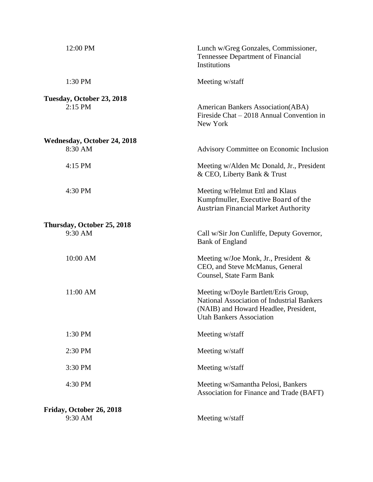| 12:00 PM                               | Lunch w/Greg Gonzales, Commissioner,<br><b>Tennessee Department of Financial</b><br>Institutions                                                                      |
|----------------------------------------|-----------------------------------------------------------------------------------------------------------------------------------------------------------------------|
| 1:30 PM                                | Meeting w/staff                                                                                                                                                       |
| Tuesday, October 23, 2018<br>$2:15$ PM | <b>American Bankers Association(ABA)</b><br>Fireside Chat $-2018$ Annual Convention in<br>New York                                                                    |
| <b>Wednesday, October 24, 2018</b>     |                                                                                                                                                                       |
| 8:30 AM                                | Advisory Committee on Economic Inclusion                                                                                                                              |
| 4:15 PM                                | Meeting w/Alden Mc Donald, Jr., President<br>& CEO, Liberty Bank & Trust                                                                                              |
| 4:30 PM                                | Meeting w/Helmut Ettl and Klaus<br>Kumpfmuller, Executive Board of the<br><b>Austrian Financial Market Authority</b>                                                  |
| Thursday, October 25, 2018<br>9:30 AM  | Call w/Sir Jon Cunliffe, Deputy Governor,<br><b>Bank of England</b>                                                                                                   |
| 10:00 AM                               | Meeting w/Joe Monk, Jr., President &<br>CEO, and Steve McManus, General<br>Counsel, State Farm Bank                                                                   |
| 11:00 AM                               | Meeting w/Doyle Bartlett/Eris Group,<br><b>National Association of Industrial Bankers</b><br>(NAIB) and Howard Headlee, President,<br><b>Utah Bankers Association</b> |
| 1:30 PM                                | Meeting w/staff                                                                                                                                                       |
| 2:30 PM                                | Meeting w/staff                                                                                                                                                       |
| 3:30 PM                                | Meeting w/staff                                                                                                                                                       |
| 4:30 PM                                | Meeting w/Samantha Pelosi, Bankers<br>Association for Finance and Trade (BAFT)                                                                                        |
| Friday, October 26, 2018<br>9:30 AM    | Meeting w/staff                                                                                                                                                       |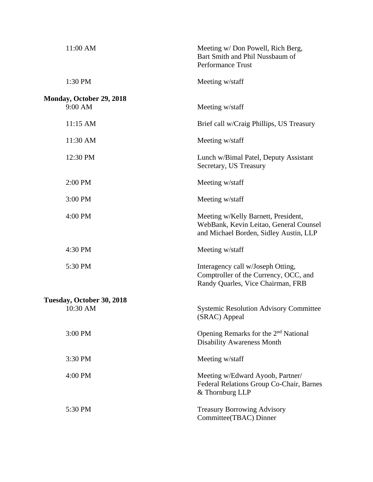| 11:00 AM                                   | Meeting w/ Don Powell, Rich Berg,<br>Bart Smith and Phil Nussbaum of<br><b>Performance Trust</b>                        |
|--------------------------------------------|-------------------------------------------------------------------------------------------------------------------------|
| 1:30 PM                                    | Meeting w/staff                                                                                                         |
| <b>Monday, October 29, 2018</b><br>9:00 AM | Meeting w/staff                                                                                                         |
| 11:15 AM                                   | Brief call w/Craig Phillips, US Treasury                                                                                |
| 11:30 AM                                   | Meeting w/staff                                                                                                         |
| 12:30 PM                                   | Lunch w/Bimal Patel, Deputy Assistant<br>Secretary, US Treasury                                                         |
| 2:00 PM                                    | Meeting w/staff                                                                                                         |
| 3:00 PM                                    | Meeting w/staff                                                                                                         |
| 4:00 PM                                    | Meeting w/Kelly Barnett, President,<br>WebBank, Kevin Leitao, General Counsel<br>and Michael Borden, Sidley Austin, LLP |
| 4:30 PM                                    | Meeting w/staff                                                                                                         |
| 5:30 PM                                    | Interagency call w/Joseph Otting,<br>Comptroller of the Currency, OCC, and<br>Randy Quarles, Vice Chairman, FRB         |
| Tuesday, October 30, 2018                  |                                                                                                                         |
| 10:30 AM                                   | <b>Systemic Resolution Advisory Committee</b><br>(SRAC) Appeal                                                          |
| 3:00 PM                                    | Opening Remarks for the 2 <sup>nd</sup> National<br><b>Disability Awareness Month</b>                                   |
| 3:30 PM                                    | Meeting w/staff                                                                                                         |
| 4:00 PM                                    | Meeting w/Edward Ayoob, Partner/<br>Federal Relations Group Co-Chair, Barnes<br>& Thornburg LLP                         |
| 5:30 PM                                    | <b>Treasury Borrowing Advisory</b><br>Committee(TBAC) Dinner                                                            |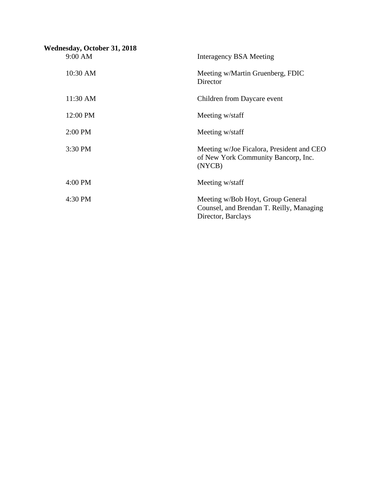| <b>Wednesday, October 31, 2018</b><br>9:00 AM | Interagency BSA Meeting                                                                             |
|-----------------------------------------------|-----------------------------------------------------------------------------------------------------|
| 10:30 AM                                      | Meeting w/Martin Gruenberg, FDIC<br>Director                                                        |
| 11:30 AM                                      | Children from Daycare event                                                                         |
| 12:00 PM                                      | Meeting w/staff                                                                                     |
| 2:00 PM                                       | Meeting w/staff                                                                                     |
| 3:30 PM                                       | Meeting w/Joe Ficalora, President and CEO<br>of New York Community Bancorp, Inc.<br>(NYCB)          |
| 4:00 PM                                       | Meeting w/staff                                                                                     |
| 4:30 PM                                       | Meeting w/Bob Hoyt, Group General<br>Counsel, and Brendan T. Reilly, Managing<br>Director, Barclays |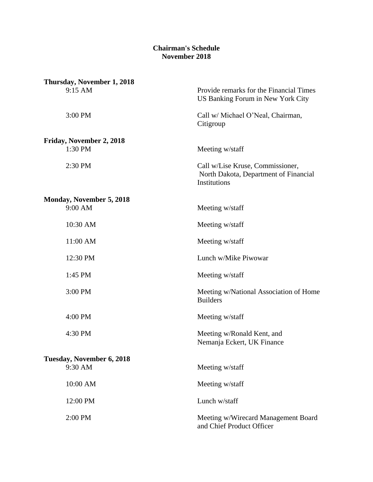### **Chairman's Schedule November 2018**

| Thursday, November 1, 2018          |                                                                                           |
|-------------------------------------|-------------------------------------------------------------------------------------------|
| 9:15 AM                             | Provide remarks for the Financial Times<br>US Banking Forum in New York City              |
| 3:00 PM                             | Call w/ Michael O'Neal, Chairman,<br>Citigroup                                            |
|                                     |                                                                                           |
| Friday, November 2, 2018<br>1:30 PM | Meeting w/staff                                                                           |
| 2:30 PM                             | Call w/Lise Kruse, Commissioner,<br>North Dakota, Department of Financial<br>Institutions |
|                                     |                                                                                           |
| Monday, November 5, 2018<br>9:00 AM | Meeting w/staff                                                                           |
| 10:30 AM                            | Meeting w/staff                                                                           |
| 11:00 AM                            | Meeting w/staff                                                                           |
| 12:30 PM                            | Lunch w/Mike Piwowar                                                                      |
| 1:45 PM                             | Meeting w/staff                                                                           |
| 3:00 PM                             | Meeting w/National Association of Home<br><b>Builders</b>                                 |
| 4:00 PM                             | Meeting w/staff                                                                           |
| 4:30 PM                             | Meeting w/Ronald Kent, and<br>Nemanja Eckert, UK Finance                                  |
| Tuesday, November 6, 2018           |                                                                                           |
| 9:30 AM                             | Meeting w/staff                                                                           |
| 10:00 AM                            | Meeting w/staff                                                                           |
| 12:00 PM                            | Lunch w/staff                                                                             |
| 2:00 PM                             | Meeting w/Wirecard Management Board<br>and Chief Product Officer                          |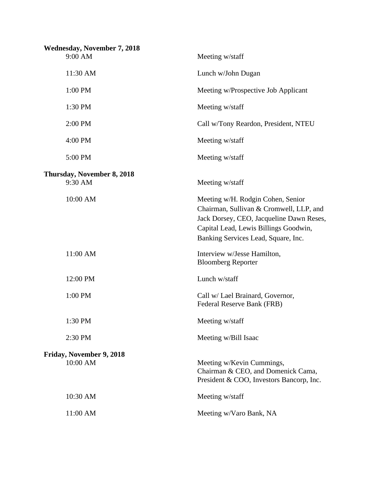| <b>Wednesday, November 7, 2018</b>    |                                                                                                                                                                                                          |
|---------------------------------------|----------------------------------------------------------------------------------------------------------------------------------------------------------------------------------------------------------|
| 9:00 AM                               | Meeting w/staff                                                                                                                                                                                          |
| 11:30 AM                              | Lunch w/John Dugan                                                                                                                                                                                       |
| 1:00 PM                               | Meeting w/Prospective Job Applicant                                                                                                                                                                      |
| 1:30 PM                               | Meeting w/staff                                                                                                                                                                                          |
| 2:00 PM                               | Call w/Tony Reardon, President, NTEU                                                                                                                                                                     |
| 4:00 PM                               | Meeting w/staff                                                                                                                                                                                          |
| 5:00 PM                               | Meeting w/staff                                                                                                                                                                                          |
|                                       |                                                                                                                                                                                                          |
| Thursday, November 8, 2018<br>9:30 AM | Meeting w/staff                                                                                                                                                                                          |
| 10:00 AM                              | Meeting w/H. Rodgin Cohen, Senior<br>Chairman, Sullivan & Cromwell, LLP, and<br>Jack Dorsey, CEO, Jacqueline Dawn Reses,<br>Capital Lead, Lewis Billings Goodwin,<br>Banking Services Lead, Square, Inc. |
| 11:00 AM                              | Interview w/Jesse Hamilton,<br><b>Bloomberg Reporter</b>                                                                                                                                                 |
| 12:00 PM                              | Lunch w/staff                                                                                                                                                                                            |
| 1:00 PM                               | Call w/ Lael Brainard, Governor,<br>Federal Reserve Bank (FRB)                                                                                                                                           |
| 1:30 PM                               | Meeting w/staff                                                                                                                                                                                          |
| 2:30 PM                               | Meeting w/Bill Isaac                                                                                                                                                                                     |
| Friday, November 9, 2018              |                                                                                                                                                                                                          |
| 10:00 AM                              | Meeting w/Kevin Cummings,<br>Chairman & CEO, and Domenick Cama,<br>President & COO, Investors Bancorp, Inc.                                                                                              |
| 10:30 AM                              | Meeting w/staff                                                                                                                                                                                          |
| 11:00 AM                              | Meeting w/Varo Bank, NA                                                                                                                                                                                  |
|                                       |                                                                                                                                                                                                          |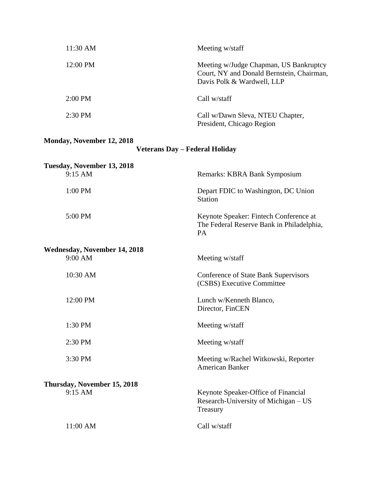| 11:30 AM          | Meeting w/staff                                                                                                   |
|-------------------|-------------------------------------------------------------------------------------------------------------------|
| 12:00 PM          | Meeting w/Judge Chapman, US Bankruptcy<br>Court, NY and Donald Bernstein, Chairman,<br>Davis Polk & Wardwell, LLP |
| $2:00 \text{ PM}$ | Call w/staff                                                                                                      |
| $2:30 \text{ PM}$ | Call w/Dawn Sleva, NTEU Chapter,<br>President, Chicago Region                                                     |

# **Monday, November 12, 2018**

| <b>Veterans Day - Federal Holiday</b> |  |
|---------------------------------------|--|
|---------------------------------------|--|

| Tuesday, November 13, 2018          |                                                                                                  |
|-------------------------------------|--------------------------------------------------------------------------------------------------|
| 9:15 AM                             | Remarks: KBRA Bank Symposium                                                                     |
| 1:00 PM                             | Depart FDIC to Washington, DC Union<br><b>Station</b>                                            |
| 5:00 PM                             | Keynote Speaker: Fintech Conference at<br>The Federal Reserve Bank in Philadelphia,<br><b>PA</b> |
| <b>Wednesday, November 14, 2018</b> |                                                                                                  |
| $9:00$ AM                           | Meeting w/staff                                                                                  |
| 10:30 AM                            | <b>Conference of State Bank Supervisors</b><br>(CSBS) Executive Committee                        |
| 12:00 PM                            | Lunch w/Kenneth Blanco,<br>Director, FinCEN                                                      |
| 1:30 PM                             | Meeting w/staff                                                                                  |
| 2:30 PM                             | Meeting w/staff                                                                                  |
| 3:30 PM                             | Meeting w/Rachel Witkowski, Reporter<br><b>American Banker</b>                                   |
| Thursday, November 15, 2018         |                                                                                                  |
| $9:15$ AM                           | Keynote Speaker-Office of Financial<br>Research-University of Michigan – US<br>Treasury          |
| 11:00 AM                            | Call w/staff                                                                                     |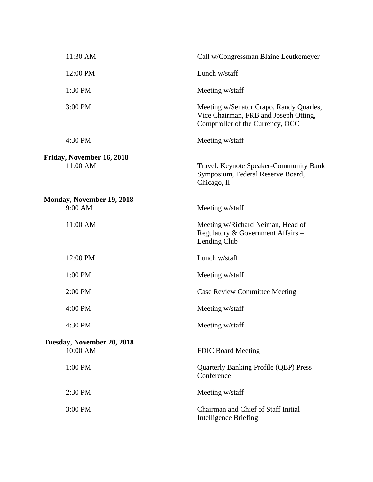| 11:30 AM                                    | Call w/Congressman Blaine Leutkemeyer                                                                                |
|---------------------------------------------|----------------------------------------------------------------------------------------------------------------------|
| 12:00 PM                                    | Lunch w/staff                                                                                                        |
| 1:30 PM                                     | Meeting w/staff                                                                                                      |
| 3:00 PM                                     | Meeting w/Senator Crapo, Randy Quarles,<br>Vice Chairman, FRB and Joseph Otting,<br>Comptroller of the Currency, OCC |
| 4:30 PM                                     | Meeting w/staff                                                                                                      |
| Friday, November 16, 2018<br>11:00 AM       | Travel: Keynote Speaker-Community Bank<br>Symposium, Federal Reserve Board,<br>Chicago, Il                           |
| <b>Monday, November 19, 2018</b><br>9:00 AM | Meeting w/staff                                                                                                      |
| 11:00 AM                                    | Meeting w/Richard Neiman, Head of<br>Regulatory & Government Affairs -<br>Lending Club                               |
| 12:00 PM                                    | Lunch w/staff                                                                                                        |
| 1:00 PM                                     | Meeting w/staff                                                                                                      |
| 2:00 PM                                     | <b>Case Review Committee Meeting</b>                                                                                 |
| 4:00 PM                                     | Meeting w/staff                                                                                                      |
| 4:30 PM                                     | Meeting w/staff                                                                                                      |
| Tuesday, November 20, 2018<br>10:00 AM      | <b>FDIC Board Meeting</b>                                                                                            |
| 1:00 PM                                     | <b>Quarterly Banking Profile (QBP) Press</b><br>Conference                                                           |
| 2:30 PM                                     | Meeting w/staff                                                                                                      |
| 3:00 PM                                     | Chairman and Chief of Staff Initial<br><b>Intelligence Briefing</b>                                                  |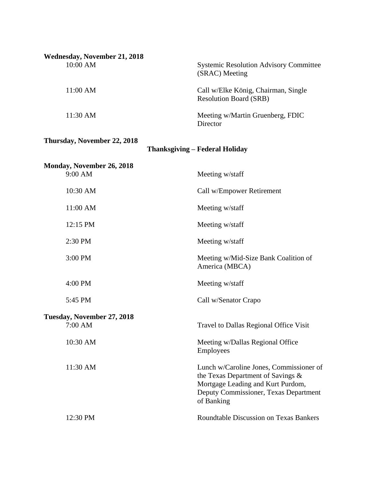| <b>Wednesday, November 21, 2018</b>  |                                                                                                                                                                          |
|--------------------------------------|--------------------------------------------------------------------------------------------------------------------------------------------------------------------------|
| 10:00 AM                             | <b>Systemic Resolution Advisory Committee</b><br>(SRAC) Meeting                                                                                                          |
| 11:00 AM                             | Call w/Elke König, Chairman, Single<br><b>Resolution Board (SRB)</b>                                                                                                     |
| 11:30 AM                             | Meeting w/Martin Gruenberg, FDIC<br>Director                                                                                                                             |
| Thursday, November 22, 2018          | <b>Thanksgiving – Federal Holiday</b>                                                                                                                                    |
|                                      |                                                                                                                                                                          |
| Monday, November 26, 2018<br>9:00 AM | Meeting w/staff                                                                                                                                                          |
| 10:30 AM                             | Call w/Empower Retirement                                                                                                                                                |
| 11:00 AM                             | Meeting w/staff                                                                                                                                                          |
| 12:15 PM                             | Meeting w/staff                                                                                                                                                          |
| 2:30 PM                              | Meeting w/staff                                                                                                                                                          |
| 3:00 PM                              | Meeting w/Mid-Size Bank Coalition of<br>America (MBCA)                                                                                                                   |
| 4:00 PM                              | Meeting w/staff                                                                                                                                                          |
| 5:45 PM                              | Call w/Senator Crapo                                                                                                                                                     |
| Tuesday, November 27, 2018           |                                                                                                                                                                          |
| 7:00 AM                              | Travel to Dallas Regional Office Visit                                                                                                                                   |
| 10:30 AM                             | Meeting w/Dallas Regional Office<br><b>Employees</b>                                                                                                                     |
| 11:30 AM                             | Lunch w/Caroline Jones, Commissioner of<br>the Texas Department of Savings &<br>Mortgage Leading and Kurt Purdom,<br>Deputy Commissioner, Texas Department<br>of Banking |
| 12:30 PM                             | <b>Roundtable Discussion on Texas Bankers</b>                                                                                                                            |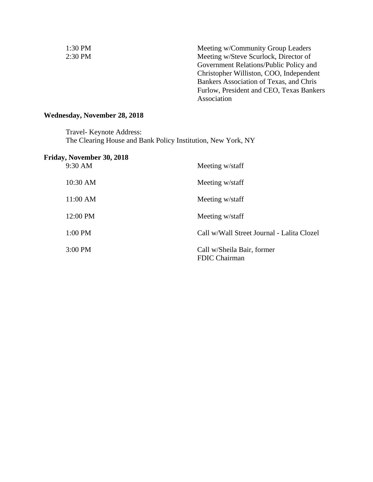| $1:30$ PM | Meeting w/Community Group Leaders        |
|-----------|------------------------------------------|
| 2:30 PM   | Meeting w/Steve Scurlock, Director of    |
|           | Government Relations/Public Policy and   |
|           | Christopher Williston, COO, Independent  |
|           | Bankers Association of Texas, and Chris  |
|           | Furlow, President and CEO, Texas Bankers |
|           | Association                              |

# **Wednesday, November 28, 2018**

Travel- Keynote Address: The Clearing House and Bank Policy Institution, New York, NY

| Friday, November 30, 2018<br>9:30 AM | Meeting w/staff                             |
|--------------------------------------|---------------------------------------------|
| 10:30 AM                             | Meeting w/staff                             |
| 11:00 AM                             | Meeting w/staff                             |
| 12:00 PM                             | Meeting w/staff                             |
| 1:00 PM                              | Call w/Wall Street Journal - Lalita Clozel  |
| 3:00 PM                              | Call w/Sheila Bair, former<br>FDIC Chairman |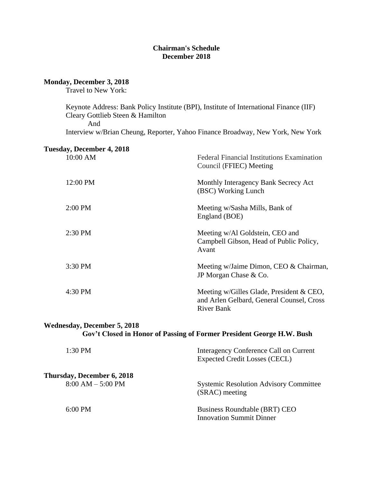#### **Chairman's Schedule December 2018**

#### **Monday, December 3, 2018**

Travel to New York:

Keynote Address: Bank Policy Institute (BPI), Institute of International Finance (IIF) Cleary Gottlieb Steen & Hamilton

And

Interview w/Brian Cheung, Reporter, Yahoo Finance Broadway, New York, New York

### **Tuesday, December 4, 2018**

| 10:00 AM  | <b>Federal Financial Institutions Examination</b><br>Council (FFIEC) Meeting                               |
|-----------|------------------------------------------------------------------------------------------------------------|
| 12:00 PM  | Monthly Interagency Bank Secrecy Act<br>(BSC) Working Lunch                                                |
| $2:00$ PM | Meeting w/Sasha Mills, Bank of<br>England (BOE)                                                            |
| $2:30$ PM | Meeting w/Al Goldstein, CEO and<br>Campbell Gibson, Head of Public Policy,<br>Avant                        |
| 3:30 PM   | Meeting w/Jaime Dimon, CEO & Chairman,<br>JP Morgan Chase & Co.                                            |
| 4:30 PM   | Meeting w/Gilles Glade, President & CEO,<br>and Arlen Gelbard, General Counsel, Cross<br><b>River Bank</b> |

#### **Wednesday, December 5, 2018 Gov't Closed in Honor of Passing of Former President George H.W. Bush**

| $1:30$ PM                                                | Interagency Conference Call on Current<br><b>Expected Credit Losses (CECL)</b> |
|----------------------------------------------------------|--------------------------------------------------------------------------------|
| <b>Thursday, December 6, 2018</b><br>$8:00 AM - 5:00 PM$ | <b>Systemic Resolution Advisory Committee</b><br>(SRAC) meeting                |
| $6:00 \text{ PM}$                                        | <b>Business Roundtable (BRT) CEO</b><br><b>Innovation Summit Dinner</b>        |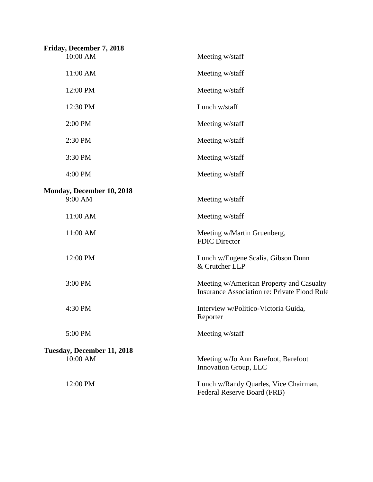| Friday, December 7, 2018         |                                                                                                 |
|----------------------------------|-------------------------------------------------------------------------------------------------|
| 10:00 AM                         | Meeting w/staff                                                                                 |
| 11:00 AM                         | Meeting w/staff                                                                                 |
| 12:00 PM                         | Meeting w/staff                                                                                 |
| 12:30 PM                         | Lunch w/staff                                                                                   |
| 2:00 PM                          | Meeting w/staff                                                                                 |
| 2:30 PM                          | Meeting w/staff                                                                                 |
| 3:30 PM                          | Meeting w/staff                                                                                 |
| 4:00 PM                          | Meeting w/staff                                                                                 |
| <b>Monday, December 10, 2018</b> |                                                                                                 |
| 9:00 AM                          | Meeting w/staff                                                                                 |
| 11:00 AM                         | Meeting w/staff                                                                                 |
| 11:00 AM                         | Meeting w/Martin Gruenberg,<br><b>FDIC Director</b>                                             |
| 12:00 PM                         | Lunch w/Eugene Scalia, Gibson Dunn<br>& Crutcher LLP                                            |
| 3:00 PM                          | Meeting w/American Property and Casualty<br><b>Insurance Association re: Private Flood Rule</b> |
| 4:30 PM                          | Interview w/Politico-Victoria Guida,<br>Reporter                                                |
| 5:00 PM                          | Meeting w/staff                                                                                 |
| Tuesday, December 11, 2018       |                                                                                                 |
| 10:00 AM                         | Meeting w/Jo Ann Barefoot, Barefoot<br>Innovation Group, LLC                                    |
| 12:00 PM                         | Lunch w/Randy Quarles, Vice Chairman,<br>Federal Reserve Board (FRB)                            |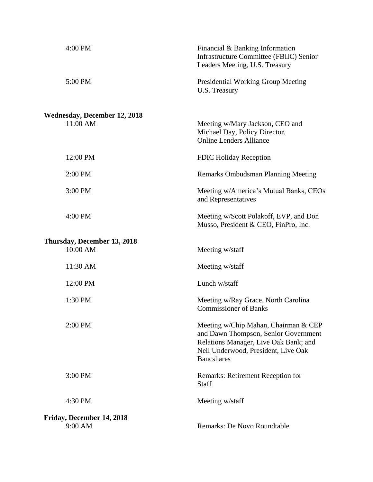| 4:00 PM                                         | Financial & Banking Information<br><b>Infrastructure Committee (FBIIC) Senior</b><br>Leaders Meeting, U.S. Treasury                                                               |
|-------------------------------------------------|-----------------------------------------------------------------------------------------------------------------------------------------------------------------------------------|
| 5:00 PM                                         | Presidential Working Group Meeting<br>U.S. Treasury                                                                                                                               |
| <b>Wednesday, December 12, 2018</b><br>11:00 AM | Meeting w/Mary Jackson, CEO and<br>Michael Day, Policy Director,<br><b>Online Lenders Alliance</b>                                                                                |
| 12:00 PM                                        | <b>FDIC Holiday Reception</b>                                                                                                                                                     |
| 2:00 PM                                         | <b>Remarks Ombudsman Planning Meeting</b>                                                                                                                                         |
| 3:00 PM                                         | Meeting w/America's Mutual Banks, CEOs<br>and Representatives                                                                                                                     |
| 4:00 PM                                         | Meeting w/Scott Polakoff, EVP, and Don<br>Musso, President & CEO, FinPro, Inc.                                                                                                    |
| Thursday, December 13, 2018<br>10:00 AM         | Meeting w/staff                                                                                                                                                                   |
| 11:30 AM                                        | Meeting w/staff                                                                                                                                                                   |
| 12:00 PM                                        | Lunch w/staff                                                                                                                                                                     |
| 1:30 PM                                         | Meeting w/Ray Grace, North Carolina<br><b>Commissioner of Banks</b>                                                                                                               |
| 2:00 PM                                         | Meeting w/Chip Mahan, Chairman & CEP<br>and Dawn Thompson, Senior Government<br>Relations Manager, Live Oak Bank; and<br>Neil Underwood, President, Live Oak<br><b>Bancshares</b> |
| 3:00 PM                                         | Remarks: Retirement Reception for<br>Staff                                                                                                                                        |
| 4:30 PM                                         | Meeting w/staff                                                                                                                                                                   |
| Friday, December 14, 2018<br>9:00 AM            | Remarks: De Novo Roundtable                                                                                                                                                       |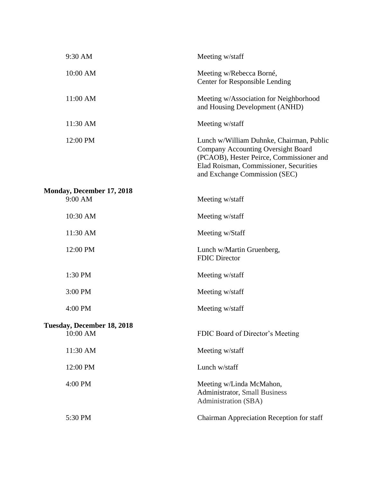| 9:30 AM                                | Meeting w/staff                                                                                                                                                                                       |
|----------------------------------------|-------------------------------------------------------------------------------------------------------------------------------------------------------------------------------------------------------|
| 10:00 AM                               | Meeting w/Rebecca Borné,<br><b>Center for Responsible Lending</b>                                                                                                                                     |
| 11:00 AM                               | Meeting w/Association for Neighborhood<br>and Housing Development (ANHD)                                                                                                                              |
| 11:30 AM                               | Meeting w/staff                                                                                                                                                                                       |
| 12:00 PM                               | Lunch w/William Duhnke, Chairman, Public<br>Company Accounting Oversight Board<br>(PCAOB), Hester Peirce, Commissioner and<br>Elad Roisman, Commissioner, Securities<br>and Exchange Commission (SEC) |
| Monday, December 17, 2018<br>9:00 AM   | Meeting w/staff                                                                                                                                                                                       |
| 10:30 AM                               | Meeting w/staff                                                                                                                                                                                       |
| 11:30 AM                               | Meeting w/Staff                                                                                                                                                                                       |
| 12:00 PM                               | Lunch w/Martin Gruenberg,<br><b>FDIC Director</b>                                                                                                                                                     |
| 1:30 PM                                | Meeting w/staff                                                                                                                                                                                       |
| 3:00 PM                                | Meeting w/staff                                                                                                                                                                                       |
| 4:00 PM                                | Meeting w/staff                                                                                                                                                                                       |
| Tuesday, December 18, 2018<br>10:00 AM | FDIC Board of Director's Meeting                                                                                                                                                                      |
| 11:30 AM                               | Meeting w/staff                                                                                                                                                                                       |
| 12:00 PM                               | Lunch w/staff                                                                                                                                                                                         |
| 4:00 PM                                | Meeting w/Linda McMahon,<br><b>Administrator</b> , Small Business<br>Administration (SBA)                                                                                                             |
| 5:30 PM                                | Chairman Appreciation Reception for staff                                                                                                                                                             |